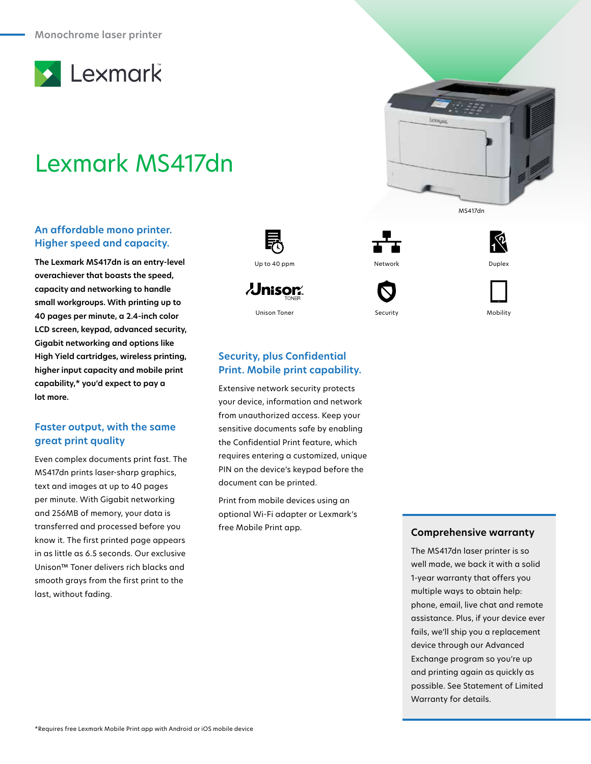

# Lexmark MS417dn

## **An affordable mono printer. Higher speed and capacity.**

**The Lexmark MS417dn is an entry-level overachiever that boasts the speed, capacity and networking to handle small workgroups. With printing up to 40 pages per minute, a 2.4-inch color LCD screen, keypad, advanced security, Gigabit networking and options like High Yield cartridges, wireless printing, higher input capacity and mobile print capability,\* you'd expect to pay a lot more.**

# **Faster output, with the same great print quality**

Even complex documents print fast. The MS417dn prints laser-sharp graphics, text and images at up to 40 pages per minute. With Gigabit networking and 256MB of memory, your data is transferred and processed before you know it. The first printed page appears in as little as 6.5 seconds. Our exclusive Unison™ Toner delivers rich blacks and smooth grays from the first print to the last, without fading.



 $\lambda$ Jnisor $\hat{}$ 







# **Security, plus Confidential Print. Mobile print capability.**

Extensive network security protects your device, information and network from unauthorized access. Keep your sensitive documents safe by enabling the Confidential Print feature, which requires entering a customized, unique PIN on the device's keypad before the document can be printed.

Print from mobile devices using an optional Wi-Fi adapter or Lexmark's free Mobile Print app.

#### **Comprehensive warranty**

The MS417dn laser printer is so well made, we back it with a solid 1-year warranty that offers you multiple ways to obtain help: phone, email, live chat and remote assistance. Plus, if your device ever fails, we'll ship you a replacement device through our Advanced Exchange program so you're up and printing again as quickly as possible. See Statement of Limited Warranty for details.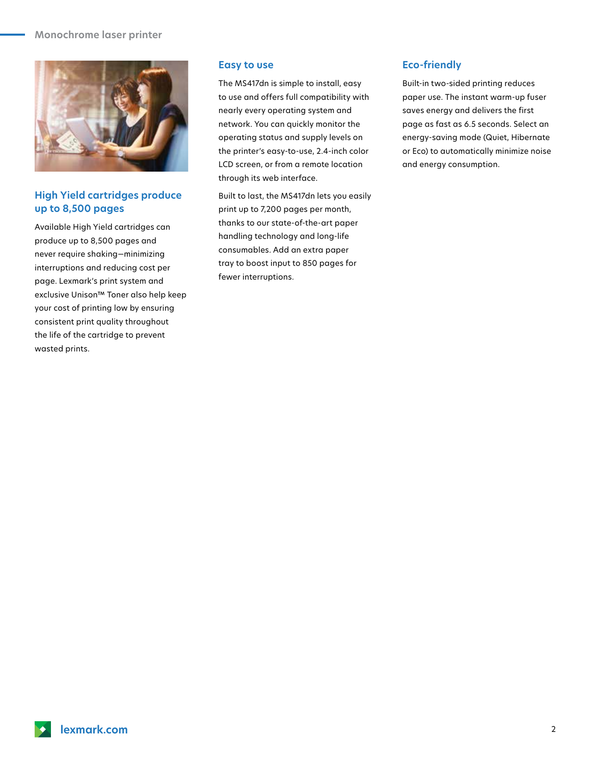#### **Monochrome laser printer**



## **High Yield cartridges produce up to 8,500 pages**

Available High Yield cartridges can produce up to 8,500 pages and never require shaking—minimizing interruptions and reducing cost per page. Lexmark's print system and exclusive Unison™ Toner also help keep your cost of printing low by ensuring consistent print quality throughout the life of the cartridge to prevent wasted prints.

#### **Easy to use**

The MS417dn is simple to install, easy to use and offers full compatibility with nearly every operating system and network. You can quickly monitor the operating status and supply levels on the printer's easy-to-use, 2.4-inch color LCD screen, or from a remote location through its web interface.

Built to last, the MS417dn lets you easily print up to 7,200 pages per month, thanks to our state-of-the-art paper handling technology and long-life consumables. Add an extra paper tray to boost input to 850 pages for fewer interruptions.

### **Eco-friendly**

Built-in two-sided printing reduces paper use. The instant warm-up fuser saves energy and delivers the first page as fast as 6.5 seconds. Select an energy-saving mode (Quiet, Hibernate or Eco) to automatically minimize noise and energy consumption.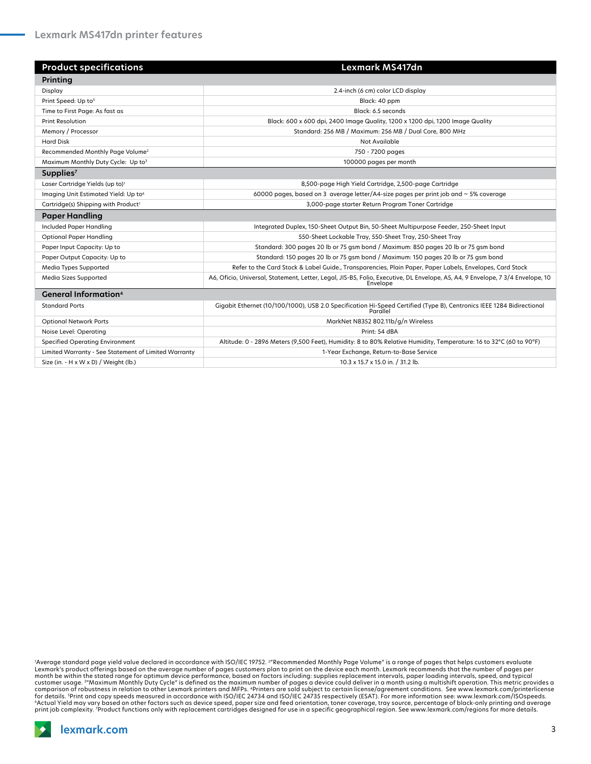| <b>Product specifications</b>                        | Lexmark MS417dn                                                                                                                            |
|------------------------------------------------------|--------------------------------------------------------------------------------------------------------------------------------------------|
| Printing                                             |                                                                                                                                            |
| Display                                              | 2.4-inch (6 cm) color LCD display                                                                                                          |
| Print Speed: Up to <sup>5</sup>                      | Black: 40 ppm                                                                                                                              |
| Time to First Page: As fast as                       | Black: 6.5 seconds                                                                                                                         |
| <b>Print Resolution</b>                              | Black: 600 x 600 dpi, 2400 Image Quality, 1200 x 1200 dpi, 1200 Image Quality                                                              |
| Memory / Processor                                   | Standard: 256 MB / Maximum: 256 MB / Dual Core, 800 MHz                                                                                    |
| <b>Hard Disk</b>                                     | Not Available                                                                                                                              |
| Recommended Monthly Page Volume <sup>2</sup>         | 750 - 7200 pages                                                                                                                           |
| Maximum Monthly Duty Cycle: Up to3                   | 100000 pages per month                                                                                                                     |
| Supplies $7$                                         |                                                                                                                                            |
| Laser Cartridge Yields (up to) <sup>1</sup>          | 8,500-page High Yield Cartridge, 2,500-page Cartridge                                                                                      |
| Imaging Unit Estimated Yield: Up to <sup>6</sup>     | 60000 pages, based on 3 average letter/A4-size pages per print job and $\sim$ 5% coverage                                                  |
| Cartridge(s) Shipping with Product <sup>1</sup>      | 3,000-page starter Return Program Toner Cartridge                                                                                          |
| <b>Paper Handling</b>                                |                                                                                                                                            |
| Included Paper Handling                              | Integrated Duplex, 150-Sheet Output Bin, 50-Sheet Multipurpose Feeder, 250-Sheet Input                                                     |
| <b>Optional Paper Handling</b>                       | 550-Sheet Lockable Tray, 550-Sheet Tray, 250-Sheet Tray                                                                                    |
| Paper Input Capacity: Up to                          | Standard: 300 pages 20 lb or 75 gsm bond / Maximum: 850 pages 20 lb or 75 gsm bond                                                         |
| Paper Output Capacity: Up to                         | Standard: 150 pages 20 lb or 75 gsm bond / Maximum: 150 pages 20 lb or 75 gsm bond                                                         |
| Media Types Supported                                | Refer to the Card Stock & Label Guide., Transparencies, Plain Paper, Paper Labels, Envelopes, Card Stock                                   |
| Media Sizes Supported                                | A6, Oficio, Universal, Statement, Letter, Legal, JIS-B5, Folio, Executive, DL Envelope, A5, A4, 9 Envelope, 7 3/4 Envelope, 10<br>Envelope |
| <b>General Information</b> <sup>4</sup>              |                                                                                                                                            |
| <b>Standard Ports</b>                                | Gigabit Ethernet (10/100/1000), USB 2.0 Specification Hi-Speed Certified (Type B), Centronics IEEE 1284 Bidirectional<br>Parallel          |
| <b>Optional Network Ports</b>                        | MarkNet N8352 802.11b/g/n Wireless                                                                                                         |
| Noise Level: Operating                               | Print: 54 dBA                                                                                                                              |
| <b>Specified Operating Environment</b>               | Altitude: 0 - 2896 Meters (9,500 Feet), Humidity: 8 to 80% Relative Humidity, Temperature: 16 to 32°C (60 to 90°F)                         |
| Limited Warranty - See Statement of Limited Warranty | 1-Year Exchange, Return-to-Base Service                                                                                                    |
| Size (in. $- H \times W \times D$ ) / Weight (lb.)   | 10.3 x 15.7 x 15.0 in. / 31.2 lb.                                                                                                          |

'Average standard page yield value declared in accordance with ISO/IEC 19752. <sup>2</sup>"Recommended Monthly Page Volume" is a range of pages that helps customers evaluate<br>Lexmark's product offerings based on the average number o